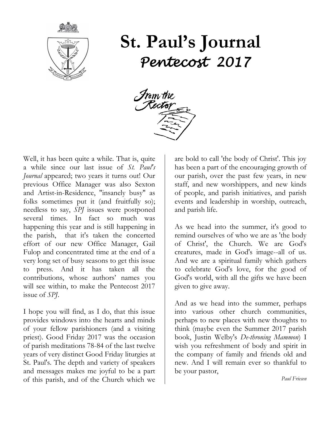

# **St. Paul's Journal** *Pentecost 2017*



Well, it has been quite a while. That is, quite a while since our last issue of *St. Paul's Journal* appeared; two years it turns out! Our previous Office Manager was also Sexton and Artist-in-Residence, "insanely busy" as folks sometimes put it (and fruitfully so); needless to say, *SPJ* issues were postponed several times. In fact so much was happening this year and is still happening in the parish, that it's taken the concerted effort of our new Office Manager, Gail Fulop and concentrated time at the end of a very long set of busy seasons to get this issue to press. And it has taken all the contributions, whose authors' names you will see within, to make the Pentecost 2017 issue of *SPJ*.

I hope you will find, as I do, that this issue provides windows into the hearts and minds of your fellow parishioners (and a visiting priest). Good Friday 2017 was the occasion of parish meditations 78-84 of the last twelve years of very distinct Good Friday liturgies at St. Paul's. The depth and variety of speakers and messages makes me joyful to be a part of this parish, and of the Church which we are bold to call 'the body of Christ'. This joy has been a part of the encouraging growth of our parish, over the past few years, in new staff, and new worshippers, and new kinds of people, and parish initiatives, and parish events and leadership in worship, outreach, and parish life.

As we head into the summer, it's good to remind ourselves of who we are as 'the body of Christ', the Church. We are God's creatures, made in God's image--all of us. And we are a spiritual family which gathers to celebrate God's love, for the good of God's world, with all the gifts we have been given to give away.

And as we head into the summer, perhaps into various other church communities, perhaps to new places with new thoughts to think (maybe even the Summer 2017 parish book, Justin Welby's *De-throning Mammon*) I wish you refreshment of body and spirit in the company of family and friends old and new. And I will remain ever so thankful to be your pastor,

*Paul Friesen*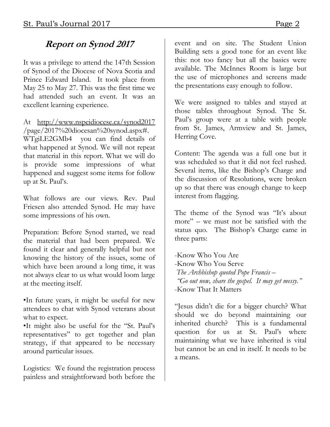# **Report on Synod 2017**

It was a privilege to attend the 147th Session of Synod of the Diocese of Nova Scotia and Prince Edward Island. It took place from May 25 to May 27. This was the first time we had attended such an event. It was an excellent learning experience.

# At <http://www.nspeidiocese.ca/synod2017>

/page/2017%20diocesan%20synod.aspx#. WTgiLE2GMb4 you can find details of what happened at Synod. We will not repeat that material in this report. What we will do is provide some impressions of what happened and suggest some items for follow up at St. Paul's.

What follows are our views. Rev. Paul Friesen also attended Synod. He may have some impressions of his own.

Preparation: Before Synod started, we read the material that had been prepared. We found it clear and generally helpful but not knowing the history of the issues, some of which have been around a long time, it was not always clear to us what would loom large at the meeting itself.

•In future years, it might be useful for new attendees to chat with Synod veterans about what to expect.

•It might also be useful for the "St. Paul's representatives" to get together and plan strategy, if that appeared to be necessary around particular issues.

Logistics: We found the registration process painless and straightforward both before the event and on site. The Student Union Building sets a good tone for an event like this: not too fancy but all the basics were available. The McInnes Room is large but the use of microphones and screens made the presentations easy enough to follow.

We were assigned to tables and stayed at those tables throughout Synod. The St. Paul's group were at a table with people from St. James, Armview and St. James, Herring Cove.

Content: The agenda was a full one but it was scheduled so that it did not feel rushed. Several items, like the Bishop's Charge and the discussion of Resolutions, were broken up so that there was enough change to keep interest from flagging.

The theme of the Synod was "It's about more" – we must not be satisfied with the status quo. The Bishop's Charge came in three parts:

-Know Who You Are -Know Who You Serve *The Archbishop quoted Pope Francis – "Go out now, share the gospel. It may get messy."* -Know That It Matters

"Jesus didn't die for a bigger church? What should we do beyond maintaining our inherited church? This is a fundamental question for us at St. Paul's where maintaining what we have inherited is vital but cannot be an end in itself. It needs to be a means.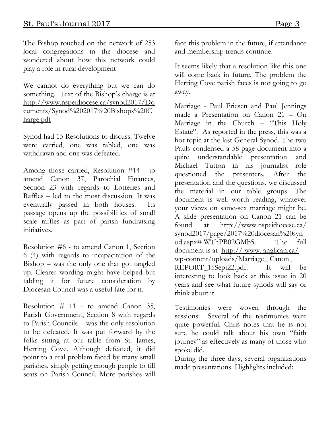The Bishop touched on the network of 253 local congregations in the diocese and wondered about how this network could play a role in rural development

We cannot do everything but we can do something. Text of the Bishop's charge is at [http://www.nspeidiocese.ca/synod2017/Do](http://www.nspeidiocese.ca/synod2017/Documents/Synod%202017%20Bishops%20Charge.pdf) [cuments/Synod%202017%20Bishops%20C](http://www.nspeidiocese.ca/synod2017/Documents/Synod%202017%20Bishops%20Charge.pdf) [harge.pdf](http://www.nspeidiocese.ca/synod2017/Documents/Synod%202017%20Bishops%20Charge.pdf)

Synod had 15 Resolutions to discuss. Twelve were carried, one was tabled, one was withdrawn and one was defeated.

Among those carried, Resolution #14 - to amend Canon 37, Parochial Finances, Section 23 with regards to Lotteries and Raffles – led to the most discussion. It was eventually passed in both houses. Its passage opens up the possibilities of small scale raffles as part of parish fundraising initiatives.

Resolution #6 - to amend Canon 1, Section 6 (4) with regards to incapacitation of the Bishop – was the only one that got tangled up. Clearer wording might have helped but tabling it for future consideration by Diocesan Council was a useful fate for it.

Resolution  $#$  11 - to amend Canon 35, Parish Government, Section 8 with regards to Parish Councils – was the only resolution to be defeated. It was put forward by the folks sitting at our table from St. James, Herring Cove. Although defeated, it did point to a real problem faced by many small parishes, simply getting enough people to fill seats on Parish Council. More parishes will face this problem in the future, if attendance and membership trends continue.

It seems likely that a resolution like this one will come back in future. The problem the Herring Cove parish faces is not going to go away.

Marriage - Paul Friesen and Paul Jennings made a Presentation on Canon 21 – On Marriage in the Church – "This Holy Estate". As reported in the press, this was a hot topic at the last General Synod. The two Pauls condensed a 58 page document into a quite understandable presentation and Michael Tutton in his journalist role questioned the presenters. After the presentation and the questions, we discussed the material in our table groups. The document is well worth reading, whatever your views on same-sex marriage might be. A slide presentation on Canon 21 can be found at <http://www.nspeidiocese.ca/> synod2017/page/2017%20diocesan%20syn od.aspx#.WThPB02GMb5. The full document is at http:// www. anglican.ca/ wp-content/uploads/Marriage\_ Canon\_ REPORT\_15Sept22.pdf. It will be interesting to look back at this issue in 20 years and see what future synods will say or think about it.

Testimonies were woven through the sessions: Several of the testimonies were quite powerful. Chris notes that he is not sure he could talk about his own "faith journey" as effectively as many of those who spoke did.

During the three days, several organizations made presentations. Highlights included: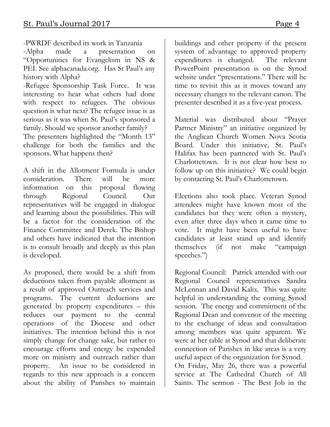-PWRDF described its work in Tanzania

-Alpha made a presentation on "Opportunities for Evangelism in NS & PEI. See alphacanada.org. Has St Paul's any history with Alpha?

-Refugee Sponsorship Task Force. It was interesting to hear what others had done with respect to refugees. The obvious question is what next? The refugee issue is as serious as it was when St. Paul's sponsored a family. Should we sponsor another family? The presenters highlighted the "Month 13" challenge for both the families and the sponsors. What happens then?

A shift in the Allotment Formula is under consideration. There will be more information on this proposal flowing through Regional Council. Our representatives will be engaged in dialogue and learning about the possibilities. This will be a factor for the consideration of the Finance Committee and Derek. The Bishop and others have indicated that the intention is to consult broadly and deeply as this plan is developed.

As proposed, there would be a shift from deductions taken from payable allotment as a result of approved Outreach services and programs. The current deductions are generated by property expenditures – this reduces our payment to the central operations of the Diocese and other initiatives. The intention behind this is not simply change for change sake, but rather to encourage efforts and energy be expended more on ministry and outreach rather than property. An issue to be considered in regards to this new approach is a concern about the ability of Parishes to maintain

buildings and other property if the present system of advantage to approved property expenditures is changed. The relevant PowerPoint presentation is on the Synod website under "presentations." There will be time to revisit this as it moves toward any necessary changes to the relevant canon. The presenter described it as a five-year process.

Material was distributed about "Prayer Partner Ministry" an initiative organized by the Anglican Church Women Nova Scotia Board. Under this initiative, St. Paul's Halifax has been partnered with St. Paul's Charlottetown. It is not clear how best to follow up on this initiative? We could begin by contacting St. Paul's Charlottetown.

Elections also took place. Veteran Synod attendees might have known most of the candidates but they were often a mystery, even after three days when it came time to vote. It might have been useful to have candidates at least stand up and identify themselves (if not make "campaign speeches.")

Regional Council: Patrick attended with our Regional Council representatives Sandra McLennan and David Kalix. This was quite helpful in understanding the coming Synod session. The energy and commitment of the Regional Dean and convenor of the meeting to the exchange of ideas and consultation among members was quite apparent. We were at her table at Synod and that deliberate connection of Parishes in like areas is a very useful aspect of the organization for Synod. On Friday, May 26, there was a powerful service at The Cathedral Church of All Saints. The sermon - The Best Job in the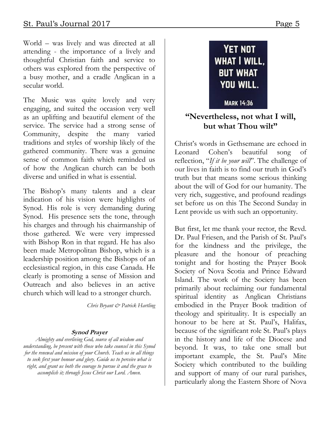World – was lively and was directed at all attending - the importance of a lively and thoughtful Christian faith and service to others was explored from the perspective of a busy mother, and a cradle Anglican in a secular world.

The Music was quite lovely and very engaging, and suited the occasion very well as an uplifting and beautiful element of the service. The service had a strong sense of Community, despite the many varied traditions and styles of worship likely of the gathered community. There was a genuine sense of common faith which reminded us of how the Anglican church can be both diverse and unified in what is essential.

The Bishop's many talents and a clear indication of his vision were highlights of Synod. His role is very demanding during Synod. His presence sets the tone, through his charges and through his chairmanship of those gathered. We were very impressed with Bishop Ron in that regard. He has also been made Metropolitan Bishop, which is a leadership position among the Bishops of an ecclesiastical region, in this case Canada. He clearly is promoting a sense of Mission and Outreach and also believes in an active church which will lead to a stronger church.

*Chris Bryant & Patrick Hartling*

#### **Synod Prayer**

*Almighty and everliving God, source of all wisdom and understanding, be present with those who take counsel in this Synod for the renewal and mission of your Church. Teach us in all things to seek first your honour and glory. Guide us to perceive what is right, and grant us both the courage to pursue it and the grace to accomplish it; through Jesus Christ our Lord. Amen.*



**MARK 14:36** 

### **"Nevertheless, not what I will, but what Thou wilt"**

Christ's words in Gethsemane are echoed in Leonard Cohen's beautiful song of reflection, "*If it be your will*". The challenge of our lives in faith is to find our truth in God's truth but that means some serious thinking about the will of God for our humanity. The very rich, suggestive, and profound readings set before us on this The Second Sunday in Lent provide us with such an opportunity.

But first, let me thank your rector, the Revd. Dr. Paul Friesen, and the Parish of St. Paul's for the kindness and the privilege, the pleasure and the honour of preaching tonight and for hosting the Prayer Book Society of Nova Scotia and Prince Edward Island. The work of the Society has been primarily about reclaiming our fundamental spiritual identity as Anglican Christians embodied in the Prayer Book tradition of theology and spirituality. It is especially an honour to be here at St. Paul's, Halifax, because of the significant role St. Paul's plays in the history and life of the Diocese and beyond. It was, to take one small but important example, the St. Paul's Mite Society which contributed to the building and support of many of our rural parishes, particularly along the Eastern Shore of Nova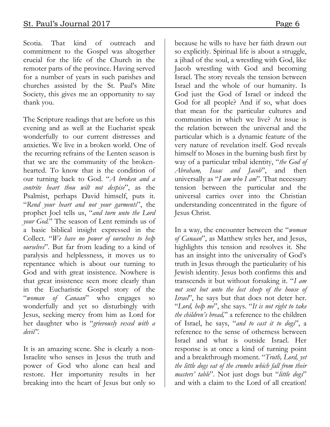Scotia. That kind of outreach and commitment to the Gospel was altogether crucial for the life of the Church in the remoter parts of the province. Having served for a number of years in such parishes and churches assisted by the St. Paul's Mite Society, this gives me an opportunity to say thank you.

The Scripture readings that are before us this evening and as well at the Eucharist speak wonderfully to our current distresses and anxieties. We live in a broken world. One of the recurring refrains of the Lenten season is that we are the community of the brokenhearted. To know that is the condition of our turning back to God. "*A broken and a contrite heart thou wilt not despise*", as the Psalmist, perhaps David himself, puts it. "*Rend your heart and not your garments*", the prophet Joel tells us, "*and turn unto the Lord your God.*" The season of Lent reminds us of a basic biblical insight expressed in the Collect. "*We have no power of ourselves to help ourselves*". But far from leading to a kind of paralysis and helplessness, it moves us to repentance which is about our turning to God and with great insistence. Nowhere is that great insistence seen more clearly than in the Eucharistic Gospel story of the "*woman of Canaan*" who engages so wonderfully and yet so disturbingly with Jesus, seeking mercy from him as Lord for her daughter who is "*grievously vexed with a devil".* 

It is an amazing scene. She is clearly a non-Israelite who senses in Jesus the truth and power of God who alone can heal and restore. Her importunity results in her breaking into the heart of Jesus but only so

because he wills to have her faith drawn out so explicitly. Spiritual life is about a struggle, a jihad of the soul, a wrestling with God, like Jacob wrestling with God and becoming Israel. The story reveals the tension between Israel and the whole of our humanity. Is God just the God of Israel or indeed the God for all people? And if so, what does that mean for the particular cultures and communities in which we live? At issue is the relation between the universal and the particular which is a dynamic feature of the very nature of revelation itself. God reveals himself to Moses in the burning bush first by way of a particular tribal identity, "*the God of Abraham, Isaac and Jacob*", and then universally as "*I am who I am*". That necessary tension between the particular and the universal carries over into the Christian understanding concentrated in the figure of Jesus Christ.

In a way, the encounter between the "*woman of Canaan*", as Matthew styles her, and Jesus, highlights this tension and resolves it. She has an insight into the universality of God's truth in Jesus through the particularity of his Jewish identity. Jesus both confirms this and transcends it but without forsaking it. "*I am not sent but unto the lost sheep of the house of Israel*", he says but that does not deter her. "*Lord, help me*", she says. "*It is not right to take the children's bread,*" a reference to the children of Israel, he says, "*and to cast it to dogs*", a reference to the sense of otherness between Israel and what is outside Israel. Her response is at once a kind of turning point and a breakthrough moment. "*Truth, Lord, yet the little dogs eat of the crumbs which fall from their masters' table*". Not just dogs but "*little dogs*" and with a claim to the Lord of all creation!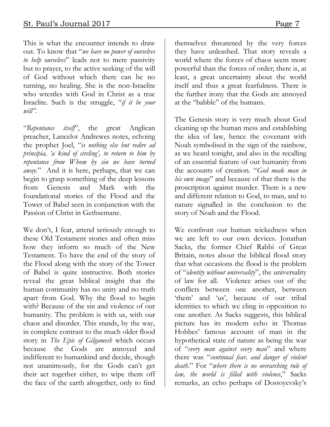This is what the encounter intends to draw out. To know that "*we have no power of ourselves to help ourselves*" leads not to mere passivity but to prayer, to the active seeking of the will of God without which there can be no turning, no healing. She is the non-Israelite who wrestles with God in Christ as a true Israelite. Such is the struggle, "*if it be your will".*

"*Repentance itself*", the great Anglican preacher, Lancelot Andrewes notes, echoing the prophet Joel, "*is nothing else but redire ad principia, 'a kind of circling', to return to him by repentance from Whom by sin we have turned away.*" And it is here, perhaps, that we can begin to grasp something of the deep lessons from Genesis and Mark with the foundational stories of the Flood and the Tower of Babel seen in conjunction with the Passion of Christ in Gethsemane.

We don't, I fear, attend seriously enough to these Old Testament stories and often miss how they inform so much of the New Testament. To have the end of the story of the Flood along with the story of the Tower of Babel is quite instructive. Both stories reveal the great biblical insight that the human community has no unity and no truth apart from God. Why the flood to begin with? Because of the sin and violence of our humanity. The problem is with us, with our chaos and disorder. This stands, by the way, in complete contrast to the much older flood story in *The Epic of Gilgamesh* which occurs because the Gods are annoyed and indifferent to humankind and decide, though not unanimously, for the Gods can't get their act together either, to wipe them off the face of the earth altogether, only to find

themselves threatened by the very forces they have unleashed. That story reveals a world where the forces of chaos seem more powerful than the forces of order; there is, at least, a great uncertainty about the world itself and thus a great fearfulness. There is the further irony that the Gods are annoyed at the "babble" of the humans.

The Genesis story is very much about God cleaning up the human mess and establishing the idea of law, hence the covenant with Noah symbolised in the sign of the rainbow, as we heard tonight, and also in the recalling of an essential feature of our humanity from the accounts of creation. "*God made man in his own image*" and because of that there is the proscription against murder. There is a new and different relation to God, to man, and to nature signalled in the conclusion to the story of Noah and the Flood.

We confront our human wickedness when we are left to our own devices. Jonathan Sacks, the former Chief Rabbi of Great Britain, notes about the biblical flood story that what occasions the flood is the problem of "*identity without universality*", the universality of law for all. Violence arises out of the conflicts between one another, between 'them' and 'us', because of our tribal identities to which we cling in opposition to one another. As Sacks suggests, this biblical picture has its modern echo in Thomas Hobbes' famous account of man in the hypothetical state of nature as being the war of "*every man against every man*" and where there was "*continual fear, and danger of violent death*." For "*where there is no overarching rule of law, the world is filled with violence*," Sacks remarks, an echo perhaps of Dostoyevsky's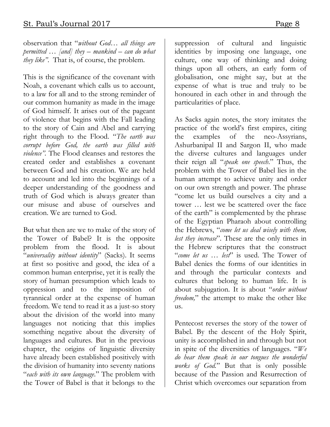observation that "*without God… all things are permitted … [and] they – mankind – can do what they like"*. That is, of course, the problem.

This is the significance of the covenant with Noah, a covenant which calls us to account, to a law for all and to the strong reminder of our common humanity as made in the image of God himself. It arises out of the pageant of violence that begins with the Fall leading to the story of Cain and Abel and carrying right through to the Flood. "*The earth was corrupt before God, the earth was filled with violence".* The Flood cleanses and restores the created order and establishes a covenant between God and his creation. We are held to account and led into the beginnings of a deeper understanding of the goodness and truth of God which is always greater than our misuse and abuse of ourselves and creation. We are turned to God.

But what then are we to make of the story of the Tower of Babel? It is the opposite problem from the flood. It is about "*universality without identity*" (Sacks). It seems at first so positive and good, the idea of a common human enterprise, yet it is really the story of human presumption which leads to oppression and to the imposition of tyrannical order at the expense of human freedom. We tend to read it as a just-so story about the division of the world into many languages not noticing that this implies something negative about the diversity of languages and cultures. But in the previous chapter, the origins of linguistic diversity have already been established positively with the division of humanity into seventy nations "*each with its own language*." The problem with the Tower of Babel is that it belongs to the

suppression of cultural and linguistic identities by imposing one language, one culture, one way of thinking and doing things upon all others, an early form of globalisation, one might say, but at the expense of what is true and truly to be honoured in each other in and through the particularities of place.

As Sacks again notes, the story imitates the practice of the world's first empires, citing the examples of the neo-Assyrians, Ashurbanipal II and Sargon II, who made the diverse cultures and languages under their reign all "*speak one speech*." Thus, the problem with the Tower of Babel lies in the human attempt to achieve unity and order on our own strength and power. The phrase "come let us build ourselves a city and a tower … lest we be scattered over the face of the earth" is complemented by the phrase of the Egyptian Pharaoh about controlling the Hebrews, "*come let us deal wisely with them, lest they increase*". These are the only times in the Hebrew scriptures that the construct "*come let us … lest*" is used. The Tower of Babel denies the forms of our identities in and through the particular contexts and cultures that belong to human life. It is about subjugation. It is about "*order without freedom*," the attempt to make the other like us.

Pentecost reverses the story of the tower of Babel. By the descent of the Holy Spirit, unity is accomplished in and through but not in spite of the diversities of languages. "*We do hear them speak in our tongues the wonderful works of God.*" But that is only possible because of the Passion and Resurrection of Christ which overcomes our separation from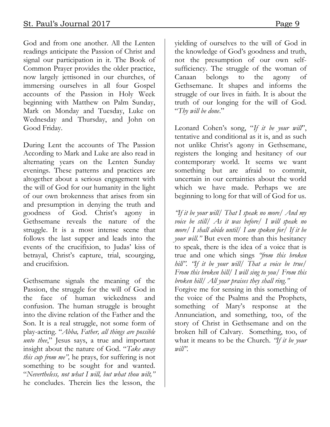God and from one another. All the Lenten readings anticipate the Passion of Christ and signal our participation in it. The Book of Common Prayer provides the older practice, now largely jettisoned in our churches, of immersing ourselves in all four Gospel accounts of the Passion in Holy Week beginning with Matthew on Palm Sunday, Mark on Monday and Tuesday, Luke on Wednesday and Thursday, and John on Good Friday.

During Lent the accounts of The Passion According to Mark and Luke are also read in alternating years on the Lenten Sunday evenings. These patterns and practices are altogether about a serious engagement with the will of God for our humanity in the light of our own brokenness that arises from sin and presumption in denying the truth and goodness of God. Christ's agony in Gethsemane reveals the nature of the struggle. It is a most intense scene that follows the last supper and leads into the events of the crucifixion, to Judas' kiss of betrayal, Christ's capture, trial, scourging, and crucifixion.

Gethsemane signals the meaning of the Passion, the struggle for the will of God in the face of human wickedness and confusion. The human struggle is brought into the divine relation of the Father and the Son. It is a real struggle, not some form of play-acting. "*Abba, Father, all things are possible unto thee*," Jesus says, a true and important insight about the nature of God. "*Take away this cup from me",* he prays, for suffering is not something to be sought for and wanted. "*Nevertheless, not what I will, but what thou wilt,"* he concludes. Therein lies the lesson, the

yielding of ourselves to the will of God in the knowledge of God's goodness and truth, not the presumption of our own selfsufficiency. The struggle of the woman of Canaan belongs to the agony of Gethsemane. It shapes and informs the struggle of our lives in faith. It is about the truth of our longing for the will of God. "*Thy will be done*."

Leonard Cohen's song, "*If it be your will*", tentative and conditional as it is, and as such not unlike Christ's agony in Gethsemane, registers the longing and hesitancy of our contemporary world. It seems we want something but are afraid to commit, uncertain in our certainties about the world which we have made. Perhaps we are beginning to long for that will of God for us.

*"If it be your will/ That I speak no more/ And my voice be still/ As it was before/ I will speak no more/ I shall abide until/ I am spoken for/ If it be your will."* But even more than this hesitancy to speak, there is the idea of a voice that is true and one which sings *"from this broken hill". "If it be your will/ That a voice be true/ From this broken hill/ I will sing to you/ From this broken hill/ All your praises they shall ring."* 

Forgive me for sensing in this something of the voice of the Psalms and the Prophets, something of Mary's response at the Annunciation, and something, too, of the story of Christ in Gethsemane and on the broken hill of Calvary. Something, too, of what it means to be the Church. *"If it be your will".*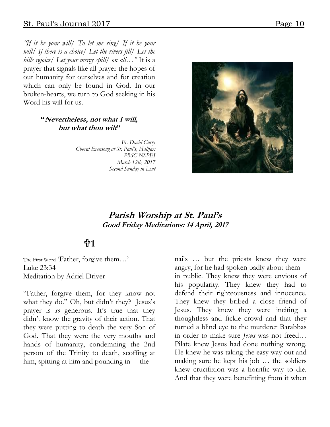*"If it be your will/ To let me sing/ If it be your will/ If there is a choice/ Let the rivers fill/ Let the hills rejoice/ Let your mercy spill/ on all…"* It is a prayer that signals like all prayer the hopes of our humanity for ourselves and for creation which can only be found in God. In our broken-hearts, we turn to God seeking in his Word his will for us.

#### **"Nevertheless, not what I will, but what thou wilt"**

*Fr. David Curry Choral Evensong at St. Paul's, Halifax PBSC NSPEI March 12th, 2017 Second Sunday in Lent*



#### **Parish Worship at St. Paul's Good Friday Meditations: 14 April, 2017**

## **1**

The First Word 'Father, forgive them…' Luke 23:34 Meditation by Adriel Driver

"Father, forgive them, for they know not what they do." Oh, but didn't they? Jesus's prayer is *so* generous. It's true that they didn't know the gravity of their action. That they were putting to death the very Son of God. That they were the very mouths and hands of humanity, condemning the 2nd person of the Trinity to death, scoffing at him, spitting at him and pounding in the

nails … but the priests knew they were angry, for he had spoken badly about them in public. They knew they were envious of his popularity. They knew they had to defend their righteousness and innocence. They knew they bribed a close friend of Jesus. They knew they were inciting a thoughtless and fickle crowd and that they turned a blind eye to the murderer Barabbas in order to make sure *Jesus* was not freed… Pilate knew Jesus had done nothing wrong. He knew he was taking the easy way out and making sure he kept his job … the soldiers knew crucifixion was a horrific way to die. And that they were benefitting from it when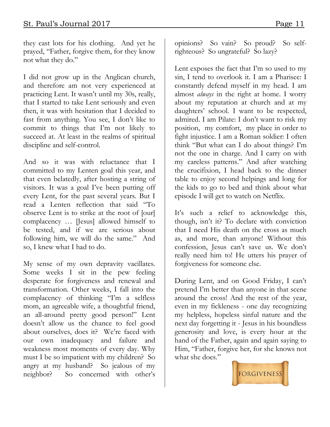they cast lots for his clothing. And yet he prayed, "Father, forgive them, for they know not what they do."

I did not grow up in the Anglican church, and therefore am not very experienced at practicing Lent. It wasn't until my 30s, really, that I started to take Lent seriously and even then, it was with hesitation that I decided to fast from anything. You see, I don't like to commit to things that I'm not likely to succeed at. At least in the realms of spiritual discipline and self-control.

And so it was with reluctance that I committed to my Lenten goal this year, and that even belatedly, after hosting a string of visitors. It was a goal I've been putting off every Lent, for the past several years. But I read a Lenten reflection that said "To observe Lent is to strike at the root of [our] complacency ... [Jesus] allowed himself to be tested, and if we are serious about following him, we will do the same." And so, I knew what I had to do.

My sense of my own depravity vacillates. Some weeks I sit in the pew feeling desperate for forgiveness and renewal and transformation. Other weeks, I fall into the complacency of thinking "I'm a selfless mom, an agreeable wife, a thoughtful friend, an all-around pretty good person!" Lent doesn't allow us the chance to feel good about ourselves, does it? We're faced with our own inadequacy and failure and weakness most moments of every day. Why must I be so impatient with my children? So angry at my husband? So jealous of my neighbor? So concerned with other's

opinions? So vain? So proud? So selfrighteous? So ungrateful? So lazy?

Lent exposes the fact that I'm so used to my sin, I tend to overlook it. I am a Pharisee: I constantly defend myself in my head. I am almost *always* in the right at home. I worry about my reputation at church and at my daughters' school. I want to be respected, admired. I am Pilate: I don't want to risk my position, my comfort, my place in order to fight injustice. I am a Roman soldier: I often think "But what can I do about things? I'm not the one in charge. And I carry on with my careless patterns." And after watching the crucifixion, I head back to the dinner table to enjoy second helpings and long for the kids to go to bed and think about what episode I will get to watch on Netflix.

It's such a relief to acknowledge this, though, isn't it? To declare with conviction that I need His death on the cross as much as, and more, than anyone! Without this confession, Jesus can't save us. We don't really need him to! He utters his prayer of forgiveness for someone else.

During Lent, and on Good Friday, I can't pretend I'm better than anyone in that scene around the cross! And the rest of the year, even in my fickleness - one day recognizing my helpless, hopeless sinful nature and the next day forgetting it - Jesus in his boundless generosity and love, is every hour at the hand of the Father, again and again saying to Him, "Father, forgive her, for she knows not what she does."

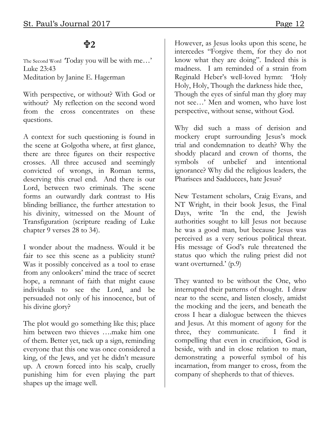# **2**

The Second Word *'*Today you will be with me…' Luke 23:43 Meditation by Janine E. Hagerman

With perspective, or without? With God or without? My reflection on the second word from the cross concentrates on these questions.

A context for such questioning is found in the scene at Golgotha where, at first glance, there are three figures on their respective crosses. All three accused and seemingly convicted of wrongs, in Roman terms, deserving this cruel end. And there is our Lord, between two criminals. The scene forms an outwardly dark contrast to His blinding brilliance, the further attestation to his divinity, witnessed on the Mount of Transfiguration (scripture reading of Luke chapter 9 verses 28 to 34).

I wonder about the madness. Would it be fair to see this scene as a publicity stunt? Was it possibly conceived as a tool to erase from any onlookers' mind the trace of secret hope, a remnant of faith that might cause individuals to see the Lord, and be persuaded not only of his innocence, but of his divine glory?

The plot would go something like this; place him between two thieves ….make him one of them. Better yet, tack up a sign, reminding everyone that this one was once considered a king, of the Jews, and yet he didn't measure up. A crown forced into his scalp, cruelly punishing him for even playing the part shapes up the image well.

However, as Jesus looks upon this scene, he intercedes "Forgive them, for they do not know what they are doing". Indeed this is madness. I am reminded of a strain from Reginald Heber's well-loved hymn: 'Holy Holy, Holy, Though the darkness hide thee, Though the eyes of sinful man thy glory may not see…' Men and women, who have lost perspective, without sense, without God.

Why did such a mass of derision and mockery erupt surrounding Jesus's mock trial and condemnation to death? Why the shoddy placard and crown of thorns, the symbols of unbelief and intentional ignorance? Why did the religious leaders, the Pharisees and Sadducees, hate Jesus?

New Testament scholars, Craig Evans, and NT Wright, in their book Jesus, the Final Days, write 'In the end, the Jewish authorities sought to kill Jesus not because he was a good man, but because Jesus was perceived as a very serious political threat. His message of God's rule threatened the status quo which the ruling priest did not want overturned.' (p.9)

They wanted to be without the One, who interrupted their patterns of thought. I draw near to the scene, and listen closely, amidst the mocking and the jeers, and beneath the cross I hear a dialogue between the thieves and Jesus. At this moment of agony for the three, they communicate. I find it compelling that even in crucifixion, God is beside, with and in close relation to man, demonstrating a powerful symbol of his incarnation, from manger to cross, from the company of shepherds to that of thieves.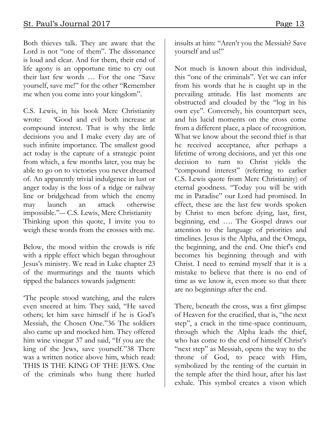Both thieves talk. They are aware that the Lord is not "one of them". The dissonance is loud and clear. And for them, their end of life agony is an opportune time to cry out their last few words … For the one "Save yourself, save me!" for the other "Remember me when you come into your kingdom".

C.S. Lewis, in his book Mere Christianity wrote: 'Good and evil both increase at compound interest. That is why the little decisions you and I make every day are of such infinite importance. The smallest good act today is the capture of a strategic point from which, a few months later, you may be able to go on to victories you never dreamed of. An apparently trivial indulgence in lust or anger today is the loss of a ridge or railway line or bridgehead from which the enemy may launch an attack otherwise impossible."― C.S. Lewis, Mere Christianity Thinking upon this quote, I invite you to weigh these words from the crosses with me.

Below, the mood within the crowds is rife with a ripple effect which began throughout Jesus's ministry. We read in Luke chapter 23 of the murmurings and the taunts which tipped the balances towards judgment:

'The people stood watching, and the rulers even sneered at him. They said, "He saved others; let him save himself if he is God's Messiah, the Chosen One."36 The soldiers also came up and mocked him. They offered him wine vinegar 37 and said, "If you are the king of the Jews, save yourself."38 There was a written notice above him, which read: THIS IS THE KING OF THE JEWS. One of the criminals who hung there hurled insults at him: "Aren't you the Messiah? Save yourself and us!"

Not much is known about this individual, this "one of the criminals". Yet we can infer from his words that he is caught up in the prevailing attitude. His last moments are obstructed and clouded by the "log in his own eye". Conversely, his counterpart sees, and his lucid moments on the cross come from a different place, a place of recognition. What we know about the second thief is that he received acceptance, after perhaps a lifetime of wrong decisions, and yet this one decision to turn to Christ yields the "compound interest" (referring to earlier C.S. Lewis quote from Mere Christianity) of eternal goodness. "Today you will be with me in Paradise" our Lord had promised. In effect, these are the last few words spoken by Christ to men before dying, last, first, beginning, end …. The Gospel draws our attention to the language of priorities and timelines. Jesus is the Alpha, and the Omega, the beginning, and the end. One thief's end becomes his beginning through and with Christ. I need to remind myself that it is a mistake to believe that there is no end of time as we know it, even more so that there are no beginnings after the end.

There, beneath the cross, was a first glimpse of Heaven for the crucified, that is, "the next step", a crack in the time-space continuum, through which the Alpha leads the thief, who has come to the end of himself Christ's "next step" as Messiah, opens the way to the throne of God, to peace with Him, symbolized by the renting of the curtain in the temple after the third hour, after his last exhale. This symbol creates a vison which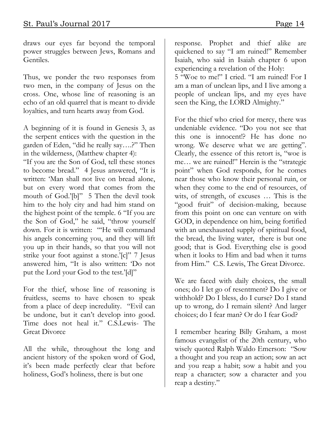draws our eyes far beyond the temporal power struggles between Jews, Romans and Gentiles.

Thus, we ponder the two responses from two men, in the company of Jesus on the cross. One, whose line of reasoning is an echo of an old quarrel that is meant to divide loyalties, and turn hearts away from God.

A beginning of it is found in Genesis 3, as the serpent entices with the question in the garden of Eden, "did he really say….?" Then in the wilderness, (Matthew chapter 4):

"If you are the Son of God, tell these stones to become bread." 4 Jesus answered, "It is written: 'Man shall not live on bread alone, but on every word that comes from the mouth of God.'[b]" 5 Then the devil took him to the holy city and had him stand on the highest point of the temple. 6 "If you are the Son of God," he said, "throw yourself down. For it is written: "'He will command his angels concerning you, and they will lift you up in their hands, so that you will not strike your foot against a stone.'[c]" 7 Jesus answered him, "It is also written: 'Do not put the Lord your God to the test.'[d]"

For the thief, whose line of reasoning is fruitless, seems to have chosen to speak from a place of deep incredulity. "Evil can be undone, but it can't develop into good. Time does not heal it." C.S.Lewis- The Great Divorce

All the while, throughout the long and ancient history of the spoken word of God, it's been made perfectly clear that before holiness, God's holiness, there is but one

response. Prophet and thief alike are quickened to say "I am ruined!" Remember Isaiah, who said in Isaiah chapter 6 upon experiencing a revelation of the Holy:

5 "Woe to me!" I cried. "I am ruined! For I am a man of unclean lips, and I live among a people of unclean lips, and my eyes have seen the King, the LORD Almighty."

For the thief who cried for mercy, there was undeniable evidence. "Do you not see that this one is innocent!? He has done no wrong. We deserve what we are getting". Clearly, the essence of this retort is, "woe is me… we are ruined!" Herein is the "strategic point" when God responds, for he comes near those who know their personal ruin, or when they come to the end of resources, of wits, of strength, of excuses … This is the "good fruit" of decision-making, because from this point on one can venture on with GOD, in dependence on him, being fortified with an unexhausted supply of spiritual food, the bread, the living water, there is but one good; that is God. Everything else is good when it looks to Him and bad when it turns from Him." C.S. Lewis, The Great Divorce.

We are faced with daily choices, the small ones; do I let go of resentment? Do I give or withhold? Do I bless, do I curse? Do I stand up to wrong, do I remain silent? And larger choices; do I fear man? Or do I fear God?

I remember hearing Billy Graham, a most famous evangelist of the 20th century, who wisely quoted Ralph Waldo Emerson: "Sow a thought and you reap an action; sow an act and you reap a habit; sow a habit and you reap a character; sow a character and you reap a destiny."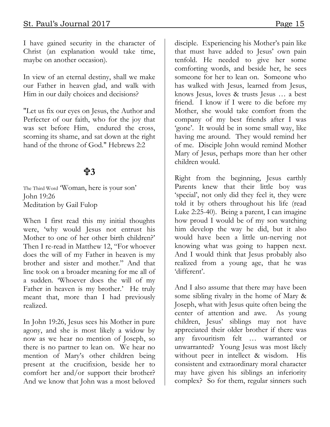I have gained security in the character of Christ (an explanation would take time, maybe on another occasion).

In view of an eternal destiny, shall we make our Father in heaven glad, and walk with Him in our daily choices and decisions?

"Let us fix our eyes on Jesus, the Author and Perfecter of our faith, who for the joy that was set before Him, endured the cross, scorning its shame, and sat down at the right hand of the throne of God." Hebrews 2:2

## **3**

The Third Word 'Woman, here is your son' John 19:26 Meditation by Gail Fulop

When I first read this my initial thoughts were, 'why would Jesus not entrust his Mother to one of her other birth children?' Then I re-read in Matthew 12, "For whoever does the will of my Father in heaven is my brother and sister and mother." And that line took on a broader meaning for me all of a sudden. 'Whoever does the will of my Father in heaven is my brother.' He truly meant that, more than I had previously realized.

In John 19:26, Jesus sees his Mother in pure agony, and she is most likely a widow by now as we hear no mention of Joseph, so there is no partner to lean on. We hear no mention of Mary's other children being present at the crucifixion, beside her to comfort her and/or support their brother? And we know that John was a most beloved

disciple. Experiencing his Mother's pain like that must have added to Jesus' own pain tenfold. He needed to give her some comforting words, and beside her, he sees someone for her to lean on. Someone who has walked with Jesus, learned from Jesus, knows Jesus, loves & trusts Jesus … a best friend. I know if I were to die before my Mother, she would take comfort from the company of my best friends after I was 'gone'. It would be in some small way, like having me around. They would remind her of me. Disciple John would remind Mother Mary of Jesus, perhaps more than her other children would.

Right from the beginning, Jesus earthly Parents knew that their little boy was 'special', not only did they feel it, they were told it by others throughout his life (read Luke 2:25-40). Being a parent, I can imagine how proud I would be of my son watching him develop the way he did, but it also would have been a little un-nerving not knowing what was going to happen next. And I would think that Jesus probably also realized from a young age, that he was 'different'.

And I also assume that there may have been some sibling rivalry in the home of Mary & Joseph, what with Jesus quite often being the center of attention and awe. As young children, Jesus' siblings may not have appreciated their older brother if there was any favouritism felt … warranted or unwarranted? Young Jesus was most likely without peer in intellect & wisdom. His consistent and extraordinary moral character may have given his siblings an inferiority complex? So for them, regular sinners such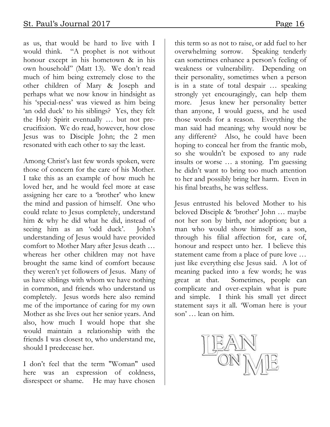as us, that would be hard to live with I would think. "A prophet is not without honour except in his hometown & in his own household" (Matt 13). We don't read much of him being extremely close to the other children of Mary & Joseph and perhaps what we now know in hindsight as his 'special-ness' was viewed as him being 'an odd duck' to his siblings? Yes, they felt the Holy Spirit eventually … but not precrucifixion. We do read, however, how close Jesus was to Disciple John; the 2 men resonated with each other to say the least.

Among Christ's last few words spoken, were those of concern for the care of his Mother. I take this as an example of how much he loved her, and he would feel more at ease assigning her care to a 'brother' who knew the mind and passion of himself. One who could relate to Jesus completely, understand him & why he did what he did, instead of seeing him as an 'odd duck'. John's understanding of Jesus would have provided comfort to Mother Mary after Jesus death … whereas her other children may not have brought the same kind of comfort because they weren't yet followers of Jesus. Many of us have siblings with whom we have nothing in common, and friends who understand us completely. Jesus words here also remind me of the importance of caring for my own Mother as she lives out her senior years. And also, how much I would hope that she would maintain a relationship with the friends I was closest to, who understand me, should I predecease her.

I don't feel that the term "Woman" used here was an expression of coldness, disrespect or shame. He may have chosen

this term so as not to raise, or add fuel to her overwhelming sorrow. Speaking tenderly can sometimes enhance a person's feeling of weakness or vulnerability. Depending on their personality, sometimes when a person is in a state of total despair … speaking strongly yet encouragingly, can help them more. Jesus knew her personality better than anyone, I would guess, and he used those words for a reason. Everything the man said had meaning; why would now be any different? Also, he could have been hoping to conceal her from the frantic mob, so she wouldn't be exposed to any rude insults or worse … a stoning. I'm guessing he didn't want to bring too much attention to her and possibly bring her harm. Even in his final breaths, he was selfless.

Jesus entrusted his beloved Mother to his beloved Disciple & 'brother' John … maybe not her son by birth, nor adoption; but a man who would show himself as a son, through his filial affection for, care of, honour and respect unto her. I believe this statement came from a place of pure love … just like everything else Jesus said. A lot of meaning packed into a few words; he was great at that. Sometimes, people can complicate and over-explain what is pure and simple. I think his small yet direct statement says it all. 'Woman here is your son' … lean on him.

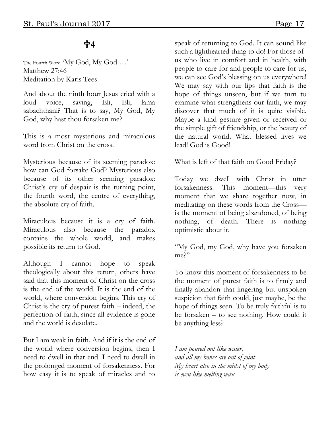# **4**

The Fourth Word 'My God, My God ...' Matthew 27:46 Meditation by Karis Tees

And about the ninth hour Jesus cried with a loud voice, saying, Eli, Eli, lama sabachthani? That is to say, My God, My God, why hast thou forsaken me?

This is a most mysterious and miraculous word from Christ on the cross.

Mysterious because of its seeming paradox: how can God forsake God? Mysterious also because of its other seeming paradox: Christ's cry of despair is the turning point, the fourth word, the centre of everything, the absolute cry of faith.

Miraculous because it is a cry of faith. Miraculous also because the paradox contains the whole world, and makes possible its return to God.

Although I cannot hope to speak theologically about this return, others have said that this moment of Christ on the cross is the end of the world. It is the end of the world, where conversion begins. This cry of Christ is the cry of purest faith – indeed, the perfection of faith, since all evidence is gone and the world is desolate.

But I am weak in faith. And if it is the end of the world where conversion begins, then I need to dwell in that end. I need to dwell in the prolonged moment of forsakenness. For how easy it is to speak of miracles and to

speak of returning to God. It can sound like such a lighthearted thing to do! For those of us who live in comfort and in health, with people to care for and people to care for us, we can see God's blessing on us everywhere! We may say with our lips that faith is the hope of things unseen, but if we turn to examine what strengthens our faith, we may discover that much of it is quite visible. Maybe a kind gesture given or received or the simple gift of friendship, or the beauty of the natural world. What blessed lives we lead! God is Good!

What is left of that faith on Good Friday?

Today we dwell with Christ in utter forsakenness. This moment—this very moment that we share together now, in meditating on these words from the Cross is the moment of being abandoned, of being nothing, of death. There is nothing optimistic about it.

"My God, my God, why have you forsaken me?"

To know this moment of forsakenness to be the moment of purest faith is to firmly and finally abandon that lingering but unspoken suspicion that faith could, just maybe, be the hope of things seen. To be truly faithful is to be forsaken – to see nothing. How could it be anything less?

*I am poured out like water, and all my bones are out of joint My heart also in the midst of my body is even like melting wax*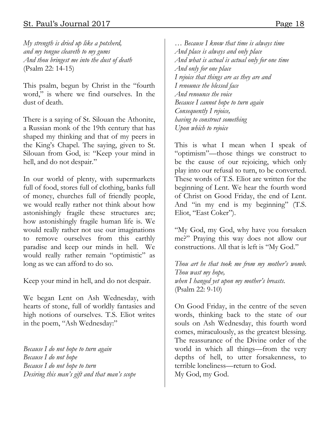#### St. Paul's Journal 2017 Page 18

*My strength is dried up like a potsherd, and my tongue cleaveth to my gums And thou bringest me into the dust of death* (Psalm 22: 14-15)

This psalm, begun by Christ in the "fourth word," is where we find ourselves. In the dust of death.

There is a saying of St. Silouan the Athonite, a Russian monk of the 19th century that has shaped my thinking and that of my peers in the King's Chapel. The saying, given to St. Silouan from God, is: "Keep your mind in hell, and do not despair."

In our world of plenty, with supermarkets full of food, stores full of clothing, banks full of money, churches full of friendly people, we would really rather not think about how astonishingly fragile these structures are; how astonishingly fragile human life is. We would really rather not use our imaginations to remove ourselves from this earthly paradise and keep our minds in hell. We would really rather remain "optimistic" as long as we can afford to do so.

Keep your mind in hell, and do not despair.

We began Lent on Ash Wednesday, with hearts of stone, full of worldly fantasies and high notions of ourselves. T.S. Eliot writes in the poem, "Ash Wednesday:"

*Because I do not hope to turn again Because I do not hope Because I do not hope to turn Desiring this man's gift and that man's scope*

*… Because I know that time is always time And place is always and only place And what is actual is actual only for one time And only for one place I rejoice that things are as they are and I renounce the blessed face And renounce the voice Because I cannot hope to turn again Consequently I rejoice, having to construct something Upon which to rejoice*

This is what I mean when I speak of "optimism"—those things we construct to be the cause of our rejoicing, which only play into our refusal to turn, to be converted. These words of T.S. Eliot are written for the beginning of Lent. We hear the fourth word of Christ on Good Friday, the end of Lent. And "in my end is my beginning" (T.S. Eliot, "East Coker").

"My God, my God, why have you forsaken me?" Praying this way does not allow our constructions. All that is left is "My God."

*Thou art he that took me from my mother's womb. Thou wast my hope, when I hanged yet upon my mother's breasts.*  (Psalm 22: 9-10)

On Good Friday, in the centre of the seven words, thinking back to the state of our souls on Ash Wednesday, this fourth word comes, miraculously, as the greatest blessing. The reassurance of the Divine order of the world in which all things—from the very depths of hell, to utter forsakenness, to terrible loneliness—return to God. My God, my God.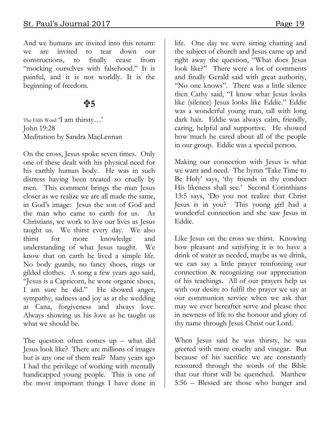And we humans are invited into this return: we are invited to tear down our constructions, to finally cease from "mocking ourselves with falsehood." It is painful, and it is not worldly. It is the beginning of freedom.

### **5**

The Fifth Word 'I am thirsty…' John 19:28 Meditation by Sandra MacLennan

On the cross, Jesus spoke seven times. Only one of these dealt with his physical need for his earthly human body. He was in such distress having been treated so cruelly by men. This comment brings the man Jesus closer as we realize we are all made the same, in God's image: Jesus the son of God and the man who came to earth for us. As Christians, we work to live our lives as Jesus taught us. We thirst every day. We also thirst for more knowledge and understanding of what Jesus taught. We know that on earth he lived a simple life. No body guards, no fancy shoes, rings or gilded clothes. A song a few years ago said, "Jesus is a Capricorn, he wore organic shoes, I am sure he did." He showed anger, sympathy, sadness and joy as at the wedding at Cana, forgiveness and always love. Always showing us his love as he taught us what we should be.

The question often comes up – what did Jesus look like? There are millions of images but is any one of them real? Many years ago I had the privilege of working with mentally handicapped young people. This is one of the most important things I have done in

life. One day we were sitting chatting and the subject of church and Jesus came up and right away the question, "What does Jesus look like?" There were a lot of comments and finally Gerald said with great authority, "No one knows". There was a little silence then Cathy said, "I know what Jesus looks like (silence) Jesus looks like Eddie." Eddie was a wonderful young man, tall with long dark hair. Eddie was always calm, friendly, caring, helpful and supportive. He showed how much he cared about all of the people in our group. Eddie was a special person.

Making our connection with Jesus is what we want and need. The hymn 'Take Time to Be Holy' says, 'thy friends in thy conduct His likeness shall see.' Second Corinthians 13:5 says, 'Do you not realize that Christ Jesus is in you? This young girl had a wonderful connection and she saw Jesus in Eddie.

Like Jesus on the cross we thirst. Knowing how pleasant and satisfying it is to have a drink of water as needed, maybe as we drink, we can say a little prayer reinforcing our connection & recognizing our appreciation of his teachings. All of our prayers help us with our desire to fulfil the prayer we say at our communion service when we ask that may we ever hereafter serve and please thee in newness of life to the honour and glory of thy name through Jesus Christ our Lord.

When Jesus said he was thirsty, he was greeted with more cruelty and vinegar. But because of his sacrifice we are constantly reassured through the words of the Bible that our thirst will be quenched. Matthew 5:56 – Blessed are those who hunger and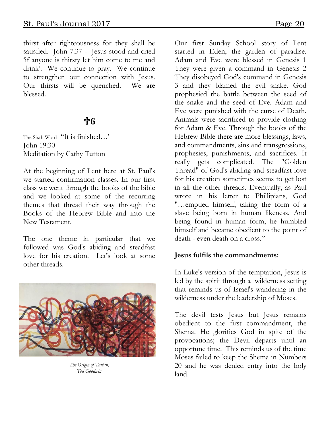thirst after righteousness for they shall be satisfied. John 7:37 - Jesus stood and cried 'if anyone is thirsty let him come to me and drink'. We continue to pray. We continue to strengthen our connection with Jesus. Our thirsts will be quenched. We are blessed.

# **6**

The Sixth Word "It is finished..." John 19:30 Meditation by Cathy Tutton

At the beginning of Lent here at St. Paul's we started confirmation classes. In our first class we went through the books of the bible and we looked at some of the recurring themes that thread their way through the Books of the Hebrew Bible and into the New Testament.

The one theme in particular that we followed was God's abiding and steadfast love for his creation. Let's look at some other threads.



*The Origin of Tartan, Ted Goodwin*

Our first Sunday School story of Lent started in Eden, the garden of paradise. Adam and Eve were blessed in Genesis 1 They were given a command in Genesis 2 They disobeyed God's command in Genesis 3 and they blamed the evil snake. God prophesied the battle between the seed of the snake and the seed of Eve. Adam and Eve were punished with the curse of Death. Animals were sacrificed to provide clothing for Adam & Eve. Through the books of the Hebrew Bible there are more blessings, laws, and commandments, sins and transgressions, prophesies, punishments, and sacrifices. It really gets complicated. The "Golden Thread" of God's abiding and steadfast love for his creation sometimes seems to get lost in all the other threads. Eventually, as Paul wrote in his letter to Phillipians, God "…emptied himself, taking the form of a slave being born in human likeness. And being found in human form, he humbled himself and became obedient to the point of death - even death on a cross."

#### **Jesus fulfils the commandments:**

In Luke's version of the temptation, Jesus is led by the spirit through a wilderness setting that reminds us of Israel's wandering in the wilderness under the leadership of Moses.

The devil tests Jesus but Jesus remains obedient to the first commandment, the Shema. He glorifies God in spite of the provocations; the Devil departs until an opportune time. This reminds us of the time Moses failed to keep the Shema in Numbers 20 and he was denied entry into the holy land.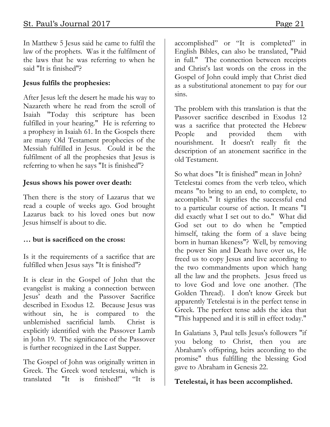In Matthew 5 Jesus said he came to fulfil the law of the prophets. Was it the fulfilment of the laws that he was referring to when he said "It is finished"?

#### **Jesus fulfils the prophesies:**

After Jesus left the desert he made his way to Nazareth where he read from the scroll of Isaiah "Today this scripture has been fulfilled in your hearing." He is referring to a prophesy in Isaiah 61. In the Gospels there are many Old Testament prophecies of the Messiah fulfilled in Jesus. Could it be the fulfilment of all the prophesies that Jesus is referring to when he says "It is finished"?

#### **Jesus shows his power over death:**

Then there is the story of Lazarus that we read a couple of weeks ago. God brought Lazarus back to his loved ones but now Jesus himself is about to die.

#### **… but is sacrificed on the cross:**

Is it the requirements of a sacrifice that are fulfilled when Jesus says "It is finished"?

It is clear in the Gospel of John that the evangelist is making a connection between Jesus' death and the Passover Sacrifice described in Exodus 12. Because Jesus was without sin, he is compared to the unblemished sacrificial lamb. Christ is explicitly identified with the Passover Lamb in John 19. The significance of the Passover is further recognized in the Last Supper.

The Gospel of John was originally written in Greek. The Greek word tetelestai, which is translated "It is finished!" "It is accomplished" or "It is completed" in English Bibles, can also be translated, "Paid in full." The connection between receipts and Christ's last words on the cross in the Gospel of John could imply that Christ died as a substitutional atonement to pay for our sins.

The problem with this translation is that the Passover sacrifice described in Exodus 12 was a sacrifice that protected the Hebrew People and provided them with nourishment. It doesn't really fit the description of an atonement sacrifice in the old Testament.

So what does "It is finished" mean in John? Tetelestai comes from the verb teleo, which means "to bring to an end, to complete, to accomplish." It signifies the successful end to a particular course of action. It means "I did exactly what I set out to do." What did God set out to do when he "emptied himself, taking the form of a slave being born in human likeness"? Well, by removing the power Sin and Death have over us, He freed us to copy Jesus and live according to the two commandments upon which hang all the law and the prophets. Jesus freed us to love God and love one another. (The Golden Thread). I don't know Greek but apparently Tetelestai is in the perfect tense in Greek. The perfect tense adds the idea that "This happened and it is still in effect today."

In Galatians 3, Paul tells Jesus's followers "if you belong to Christ, then you are Abraham's offspring, heirs according to the promise" thus fulfilling the blessing God gave to Abraham in Genesis 22.

#### **Tetelestai, it has been accomplished.**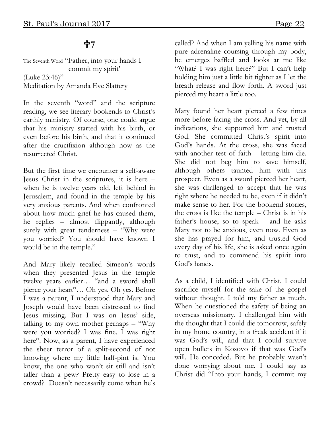# **7**

The Seventh Word "Father, into your hands I commit my spirit' (Luke 23:46)" Meditation by Amanda Eve Slattery

In the seventh "word" and the scripture reading, we see literary bookends to Christ's earthly ministry. Of course, one could argue that his ministry started with his birth, or even before his birth, and that it continued after the crucifixion although now as the resurrected Christ.

But the first time we encounter a self-aware Jesus Christ in the scriptures, it is here – when he is twelve years old, left behind in Jerusalem, and found in the temple by his very anxious parents. And when confronted about how much grief he has caused them, he replies – almost flippantly, although surely with great tenderness – "Why were you worried? You should have known I would be in the temple."

And Mary likely recalled Simeon's words when they presented Jesus in the temple twelve years earlier… "and a sword shall pierce your heart"… Oh yes. Oh yes. Before I was a parent, I understood that Mary and Joseph would have been distressed to find Jesus missing. But I was on Jesus' side, talking to my own mother perhaps – "Why were you worried? I was fine. I was right here". Now, as a parent, I have experienced the sheer terror of a split-second of not knowing where my little half-pint is. You know, the one who won't sit still and isn't taller than a pew? Pretty easy to lose in a crowd? Doesn't necessarily come when he's

called? And when I am yelling his name with pure adrenaline coursing through my body, he emerges baffled and looks at me like "What? I was right here?" But I can't help holding him just a little bit tighter as I let the breath release and flow forth. A sword just pierced my heart a little too.

Mary found her heart pierced a few times more before facing the cross. And yet, by all indications, she supported him and trusted God. She committed Christ's spirit into God's hands. At the cross, she was faced with another test of faith – letting him die. She did not beg him to save himself, although others taunted him with this prospect. Even as a sword pierced her heart, she was challenged to accept that he was right where he needed to be, even if it didn't make sense to her. For the bookend stories, the cross is like the temple – Christ is in his father's house, so to speak – and he asks Mary not to be anxious, even now. Even as she has prayed for him, and trusted God every day of his life, she is asked once again to trust, and to commend his spirit into God's hands.

As a child, I identified with Christ. I could sacrifice myself for the sake of the gospel without thought. I told my father as much. When he questioned the safety of being an overseas missionary, I challenged him with the thought that I could die tomorrow, safely in my home country, in a freak accident if it was God's will, and that I could survive open bullets in Kosovo if that was God's will. He conceded. But he probably wasn't done worrying about me. I could say as Christ did "Into your hands, I commit my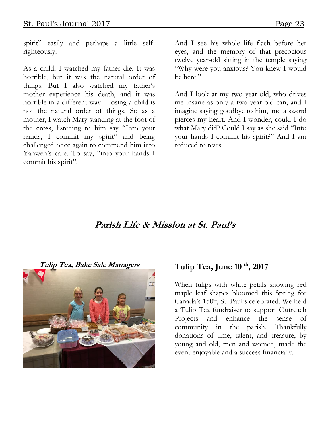spirit" easily and perhaps a little selfrighteously.

As a child, I watched my father die. It was horrible, but it was the natural order of things. But I also watched my father's mother experience his death, and it was horrible in a different way – losing a child is not the natural order of things. So as a mother, I watch Mary standing at the foot of the cross, listening to him say "Into your hands, I commit my spirit" and being challenged once again to commend him into Yahweh's care. To say, "into your hands I commit his spirit".

And I see his whole life flash before her eyes, and the memory of that precocious twelve year-old sitting in the temple saying "Why were you anxious? You knew I would be here."

And I look at my two year-old, who drives me insane as only a two year-old can, and I imagine saying goodbye to him, and a sword pierces my heart. And I wonder, could I do what Mary did? Could I say as she said "Into your hands I commit his spirit?" And I am reduced to tears.

## **Parish Life & Mission at St. Paul's**





## **Tulip Tea, June 10 th, 2017**

When tulips with white petals showing red maple leaf shapes bloomed this Spring for Canada's 150<sup>th</sup>, St. Paul's celebrated. We held a Tulip Tea fundraiser to support Outreach Projects and enhance the sense of community in the parish. Thankfully donations of time, talent, and treasure, by young and old, men and women, made the event enjoyable and a success financially.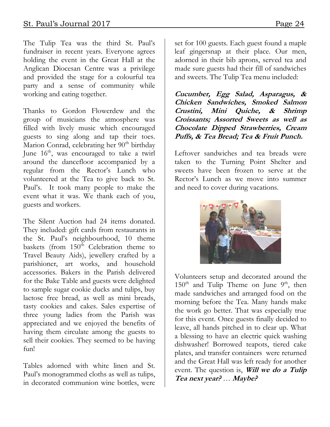The Tulip Tea was the third St. Paul's fundraiser in recent years. Everyone agrees holding the event in the Great Hall at the Anglican Diocesan Centre was a privilege and provided the stage for a colourful tea party and a sense of community while working and eating together.

Thanks to Gordon Flowerdew and the group of musicians the atmosphere was filled with lively music which encouraged guests to sing along and tap their toes. Marion Conrad, celebrating her 90<sup>th</sup> birthday June  $16<sup>th</sup>$ , was encouraged to take a twirl around the dancefloor accompanied by a regular from the Rector's Lunch who volunteered at the Tea to give back to St. Paul's. It took many people to make the event what it was. We thank each of you, guests and workers.

The Silent Auction had 24 items donated. They included: gift cards from restaurants in the St. Paul's neighbourhood, 10 theme baskets (from  $150<sup>th</sup>$  Celebration theme to Travel Beauty Aids), jewellery crafted by a parishioner, art works, and household accessories. Bakers in the Parish delivered for the Bake Table and guests were delighted to sample sugar cookie ducks and tulips, buy lactose free bread, as well as mini breads, tasty cookies and cakes. Sales expertise of three young ladies from the Parish was appreciated and we enjoyed the benefits of having them circulate among the guests to sell their cookies. They seemed to be having fun!

Tables adorned with white linen and St. Paul's monogrammed cloths as well as tulips, in decorated communion wine bottles, were

set for 100 guests. Each guest found a maple leaf gingersnap at their place. Our men, adorned in their bib aprons, served tea and made sure guests had their fill of sandwiches and sweets. The Tulip Tea menu included:

**Cucumber, Egg Salad, Asparagus, & Chicken Sandwiches, Smoked Salmon Crustini, Mini Quiche, & Shrimp Croissants; Assorted Sweets as well as Chocolate Dipped Strawberries, Cream Puffs, & Tea Bread; Tea & Fruit Punch.** 

Leftover sandwiches and tea breads were taken to the Turning Point Shelter and sweets have been frozen to serve at the Rector's Lunch as we move into summer and need to cover during vacations.



Volunteers setup and decorated around the  $150<sup>th</sup>$  and Tulip Theme on June  $9<sup>th</sup>$ , then made sandwiches and arranged food on the morning before the Tea. Many hands make the work go better. That was especially true for this event. Once guests finally decided to leave, all hands pitched in to clear up. What a blessing to have an electric quick washing dishwasher! Borrowed teapots, tiered cake plates, and transfer containers were returned and the Great Hall was left ready for another event. The question is, **Will we do a Tulip Tea next year?** … **Maybe?**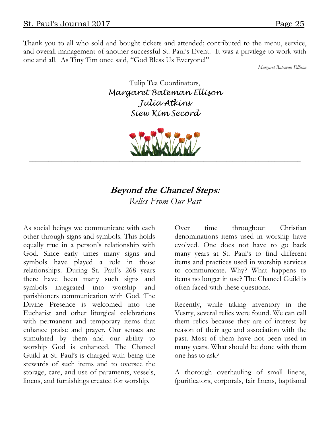Thank you to all who sold and bought tickets and attended; contributed to the menu, service, and overall management of another successful St. Paul's Event. It was a privilege to work with one and all. As Tiny Tim once said, "God Bless Us Everyone!"

*Margaret Bateman Ellison*

Tulip Tea Coordinators, *Margaret Bateman Ellison Julia Atkins Siew Kim Secord*



## **Beyond the Chancel Steps:** *Relics From Our Past*

As social beings we communicate with each other through signs and symbols. This holds equally true in a person's relationship with God. Since early times many signs and symbols have played a role in those relationships. During St. Paul's 268 years there have been many such signs and symbols integrated into worship and parishioners communication with God. The Divine Presence is welcomed into the Eucharist and other liturgical celebrations with permanent and temporary items that enhance praise and prayer. Our senses are stimulated by them and our ability to worship God is enhanced. The Chancel Guild at St. Paul's is charged with being the stewards of such items and to oversee the storage, care, and use of paraments, vessels, linens, and furnishings created for worship.

Over time throughout Christian denominations items used in worship have evolved. One does not have to go back many years at St. Paul's to find different items and practices used in worship services to communicate. Why? What happens to items no longer in use? The Chancel Guild is often faced with these questions.

Recently, while taking inventory in the Vestry, several relics were found. We can call them relics because they are of interest by reason of their age and association with the past. Most of them have not been used in many years. What should be done with them one has to ask?

A thorough overhauling of small linens, (purificators, corporals, fair linens, baptismal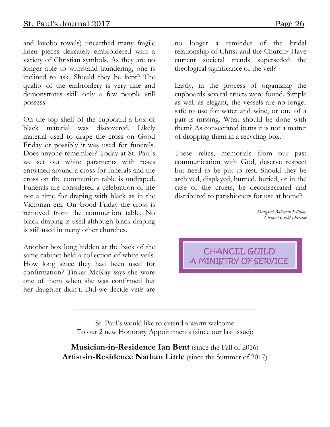and lavobo towels) unearthed many fragile linen pieces delicately embroidered with a variety of Christian symbols. As they are no longer able to withstand laundering, one is inclined to ask, Should they be kept? The quality of the embroidery is very fine and demonstrates skill only a few people still possess.

On the top shelf of the cupboard a box of black material was discovered. Likely material used to drape the cross on Good Friday or possibly it was used for funerals. Does anyone remember? Today at St. Paul's we set out white paraments with roses entwined around a cross for funerals and the cross on the communion table is undraped. Funerals are considered a celebration of life not a time for draping with black as in the Victorian era. On Good Friday the cross is removed from the communion table. No black draping is used although black draping is still used in many other churches.

Another box long hidden at the back of the same cabinet held a collection of white veils. How long since they had been used for confirmation? Tinker McKay says she wore one of them when she was confirmed but her daughter didn't. Did we decide veils are

no longer a reminder of the bridal relationship of Christ and the Church? Have current societal trends superseded the theological significance of the veil?

Lastly, in the process of organizing the cupboards several cruets were found. Simple as well as elegant, the vessels are no longer safe to use for water and wine, or one of a pair is missing. What should be done with them? As consecrated items it is not a matter of dropping them in a recycling box.

These relics, memorials from our past communication with God, deserve respect but need to be put to rest. Should they be archived, displayed, burned, buried, or in the case of the cruets, be deconsecrated and distributed to parishioners for use at home?

> *Margaret Bateman Ellison, Chancel Guild Director*

CHANCEL GUILD A MINISTRY OF SERVICE

St. Paul's would like to extend a warm welcome To our 2 new Honorary Appointments (since our last issue):

**\_\_\_\_\_\_\_\_\_\_\_\_\_\_\_\_\_\_\_\_\_\_\_\_\_\_\_\_\_\_\_\_\_\_\_\_\_\_\_\_\_\_\_\_\_\_\_\_**

**Musician-in-Residence Ian Bent** (since the Fall of 2016) **Artist-in-Residence Nathan Little** (since the Summer of 2017)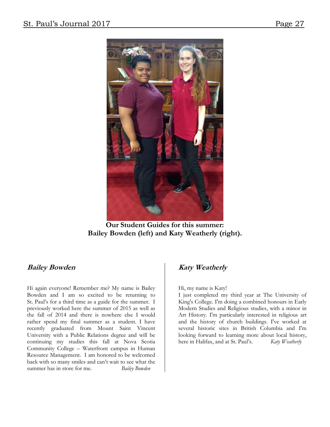

**Our Student Guides for this summer: Bailey Bowden (left) and Katy Weatherly (right).**

#### **Bailey Bowden**

Hi again everyone! Remember me? My name is Bailey Bowden and I am so excited to be returning to St. Paul's for a third time as a guide for the summer. I previously worked here the summer of 2015 as well as the fall of 2014 and there is nowhere else I would rather spend my final summer as a student. I have recently graduated from Mount Saint Vincent University with a Public Relations degree and will be continuing my studies this fall at Nova Scotia Community College – Waterfront campus in Human Resource Management. I am honored to be welcomed back with so many smiles and can't wait to see what the summer has in store for me. *Bailey Bowden*

#### **Katy Weatherly**

Hi, my name is Katy!

I just completed my third year at The University of King's College. I'm doing a combined honours in Early Modern Studies and Religious studies, with a minor in Art History. I'm particularly interested in religious art and the history of church buildings. I've worked at several historic sites in British Columbia and I'm looking forward to learning more about local history, here in Halifax, and at St. Paul's. *Katy Weatherly*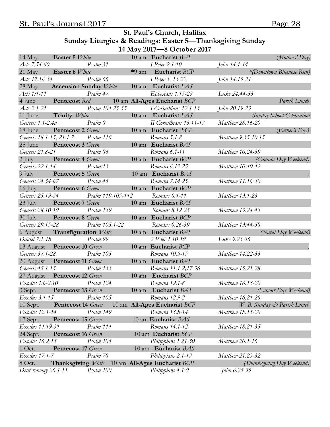#### **St. Paul's Church, Halifax Sunday Liturgies & Readings: Easter 5—Thanksgiving Sunday 14 May 2017—8 October 2017**

|                     | 14 May <b>Easter 5</b> White      |           |                        | $11 \text{ mag}$ and $0 \text{ O}$ crober 2017<br>10 am Eucharist BAS |                    | $(Mothers'$ Day)                 |
|---------------------|-----------------------------------|-----------|------------------------|-----------------------------------------------------------------------|--------------------|----------------------------------|
| Acts 7.54-60        |                                   | Psalm 31  |                        | I Peter 2.1-10                                                        | John 14.1-14       |                                  |
|                     | 21 May <b>Easter 6</b> White      |           |                        | *9 am Eucharist BCP                                                   |                    | *(Downtown Bluenose Run)         |
| Acts 17.16-34       |                                   | Psalm 66  |                        | I Peter 3. 13-22                                                      | John 14.15-21      |                                  |
|                     |                                   |           |                        | 28 May <b>Ascension Sunday</b> White 10 am <b>Eucharist</b> BAS       |                    |                                  |
| Acts 1:1-11         |                                   | Psalm 47  |                        | Ephesians 1.15-23                                                     | Luke 24.44-53      |                                  |
| 4 June              | <b>Pentecost Red</b>              |           |                        | 10 am All-Ages Eucharist BCP                                          |                    | Parish Lunch                     |
|                     | $\mathcal{A}$ cts 2.1-21          |           | Psalm 104.25-35        | I Corinthians 12.1-13                                                 | John 20.19-23      |                                  |
|                     | 11 June <b>Trinity</b> White      |           |                        | 10 am Eucharist BAS                                                   |                    | <b>Sunday School Celebration</b> |
| Genesis 1.1-2.4a    | Psalm 8                           |           |                        | II Corinthians 13.11-13                                               | Matthew 28.16-20   |                                  |
|                     | 18 June Pentecost 2 Green         |           | <u>and</u> a strong of | 10 am Eucharist BCP                                                   |                    | (Father's Day)                   |
|                     | Genesis 18.1-15; 21.1-7 Psalm 116 |           |                        | Romans 5.1-8                                                          | Matthew 9.35-10.15 |                                  |
|                     | 25 June Pentecost 3 Green         |           |                        | 10 am Eucharist BAS                                                   |                    |                                  |
| Genesis 21.8-21     |                                   | Psalm 86  |                        | Romans 6.1-11                                                         | Matthew 10.24-39   |                                  |
|                     | 2 July <b>Pentecost 4</b> Green   |           |                        | 10 am Eucharist BCP                                                   |                    | (Canada Day Weekend)             |
|                     | Genesis 22.1-14 Psalm 13          |           |                        | Romans 6.12-23                                                        | Matthew 10.40-42   |                                  |
|                     | 9 July <b>Pentecost 5</b> Green   |           |                        | 10 am Eucharist BAS                                                   |                    |                                  |
| Genesis 24.34-67    | Psalm 45                          |           |                        | Romans 7.14-25                                                        | Matthew 11.16-30   |                                  |
|                     | 16 July <b>Pentecost 6</b> Green  |           |                        | 10 am Eucharist BCP                                                   |                    |                                  |
| Genesis 25.19-34    |                                   |           | Psalm 119.105-112      | Romans 8.1-11                                                         | Matthew 13.1-23    |                                  |
|                     | 23 July Pentecost 7 Green         |           |                        | 10 am Eucharist BAS                                                   |                    |                                  |
| Genesis 28.10-19    |                                   |           | Psalm 139              | Romans 8.12-25                                                        | Matthew 13.24-43   |                                  |
|                     | 30 July <b>Pentecost 8</b> Green  |           |                        | 10 am Eucharist BCP                                                   |                    |                                  |
| Genesis 29.15-28    |                                   |           | Psalm 105.1-22         | Romans 8.26-39                                                        | Matthew 13.44-58   |                                  |
|                     | 6 August Transfiguration White    |           |                        | 10 am Eucharist BAS                                                   |                    | (Natal Day Weekend)              |
| Daniel 7.1-18       | Psalm 99                          |           |                        | 2 Peter 1.10-19                                                       | Luke 9.23-36       |                                  |
|                     | 13 August Pentecost 10 Green      |           |                        | 10 am Eucharist BCP                                                   |                    |                                  |
| Genesis 37.1-28     |                                   | Psalm 105 |                        | Romans 10.5-15                                                        | Matthew 14.22-33   |                                  |
|                     | 20 August Pentecost 11 Green      |           |                        | 10 am Eucharist BAS                                                   |                    |                                  |
| Genesis 45.1-15     |                                   | Psalm 133 |                        | Romans 11.1-2,17-36                                                   | Matthew 15.21-28   |                                  |
|                     | 27 August Pentecost 12 Green      |           |                        | 10 am Eucharist BCP                                                   |                    |                                  |
| Exodus 1.6-2.10     | Psalm 124                         |           |                        | Romans 12.1-8                                                         | Matthew 16.13-20   |                                  |
|                     | 3 Sept. Pentecost 13 Green        |           |                        | 10 am Eucharist BAS                                                   |                    | (Labour Day Weekend)             |
| Exodus 3.1-15       |                                   | Psalm 105 |                        | Romans 12.9-2                                                         | Matthew 16.21-28   |                                  |
| 10 Sept.            | <b>Pentecost 14 Green</b>         |           |                        | 10 am All-Ages Eucharist BCP                                          |                    | W. B. Sunday & Parish Lunch      |
| Exodus 12.1-14      |                                   | Psalm 149 |                        | Romans 13.8-14                                                        | Matthew 18.15-20   |                                  |
| 17 Sept.            | <b>Pentecost 15 Green</b>         |           |                        | 10 am Eucharist BAS                                                   |                    |                                  |
| Exodus 14.19-31     |                                   | Psalm 114 |                        | Romans 14.1-12                                                        | Matthew 18.21-35   |                                  |
| 24 Sept.            | <b>Pentecost 16 Green</b>         |           |                        | 10 am Eucharist BCP                                                   |                    |                                  |
| Exodus 16.2-15      |                                   | Psalm 105 |                        | Philippians 1.21-30                                                   | Matthew 20.1-16    |                                  |
| $1$ Oct.            | <b>Pentecost 17 Green</b>         |           |                        | 10 am Eucharist BAS                                                   |                    |                                  |
| Exodus 17.1-7       |                                   | Psalm 78  |                        | Philippians 2.1-13                                                    | Matthew 21.23-32   |                                  |
| 8 Oct.              |                                   |           |                        | Thanksgiving White 10 am All-Ages Eucharist BCP                       |                    | (Thanksgiving Day Weekend)       |
| Deuteronomy 26.1-11 |                                   | Psalm 100 |                        | Philippians 4.1-9                                                     | John 6.25-35       |                                  |